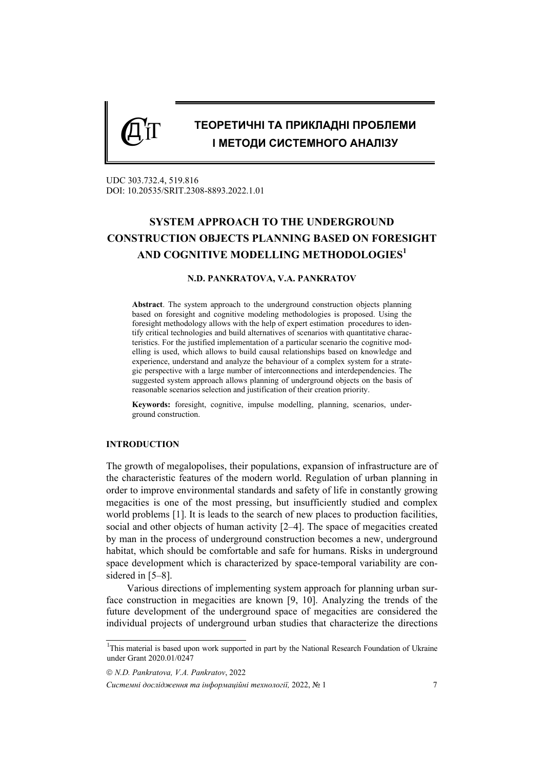# *C*<sup>Д</sup> IT **ТЕОРЕТИЧНІ ТА ПРИКЛАДНІ ПРОБЛЕМИ І МЕТОДИ СИСТЕМНОГО АНАЛІЗУ**

UDC 303.732.4, 519.816 DOI: 10.20535/SRIT.2308-8893.2022.1.01

# **SYSTEM APPROACH TO THE UNDERGROUND CONSTRUCTION OBJECTS PLANNING BASED ON FORESIGHT AND COGNITIVE MODELLING METHODOLOGIES<sup>1</sup>**

## **N.D. PANKRATOVA, V.A. PANKRATOV**

**Abstract**. The system approach to the underground construction objects planning based on foresight and cognitive modeling methodologies is proposed. Using the foresight methodology allows with the help of expert estimation procedures to identify critical technologies and build alternatives of scenarios with quantitative characteristics. For the justified implementation of a particular scenario the cognitive modelling is used, which allows to build causal relationships based on knowledge and experience, understand and analyze the behaviour of a complex system for a strategic perspective with a large number of interconnections and interdependencies. The suggested system approach allows planning of underground objects on the basis of reasonable scenarios selection and justification of their creation priority.

**Keywords:** foresight, cognitive, impulse modelling, planning, scenarios, underground construction.

### **INTRODUCTION**

The growth of megalopolises, their populations, expansion of infrastructure are of the characteristic features of the modern world. Regulation of urban planning in order to improve environmental standards and safety of life in constantly growing megacities is one of the most pressing, but insufficiently studied and complex world problems [1]. It is leads to the search of new places to production facilities, social and other objects of human activity [2–4]. The space of megacities created by man in the process of underground construction becomes a new, underground habitat, which should be comfortable and safe for humans. Risks in underground space development which is characterized by space-temporal variability are considered in [5–8].

Various directions of implementing system approach for planning urban surface construction in megacities are known [9, 10]. Analyzing the trends of the future development of the underground space of megacities are considered the individual projects of underground urban studies that characterize the directions

*N.D. Pankratova, V.A. Pankratov*, 2022

<sup>&</sup>lt;sup>1</sup>This material is based upon work supported in part by the National Research Foundation of Ukraine under Grant 2020.01/0247

*Системні дослідження та інформаційні технології,* 2022, № 1 7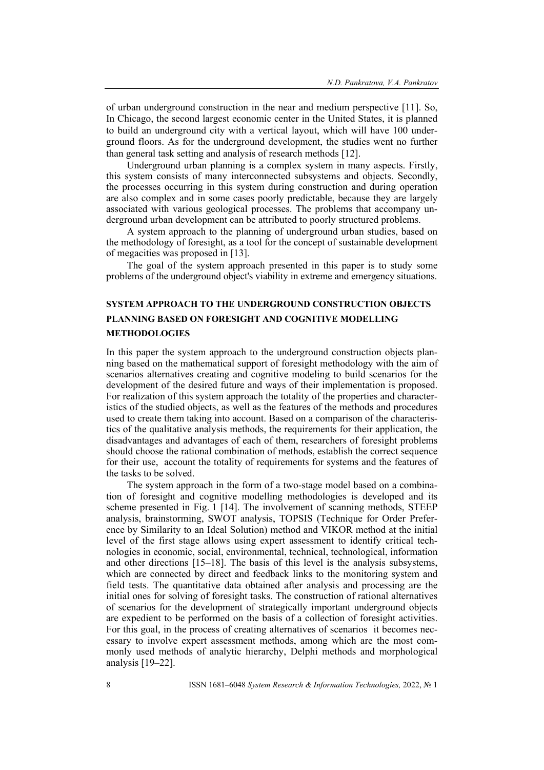of urban underground construction in the near and medium perspective [11]. So, In Chicago, the second largest economic center in the United States, it is planned to build an underground city with a vertical layout, which will have 100 underground floors. As for the underground development, the studies went no further than general task setting and analysis of research methods [12].

Underground urban planning is a complex system in many aspects. Firstly, this system consists of many interconnected subsystems and objects. Secondly, the processes occurring in this system during construction and during operation are also complex and in some cases poorly predictable, because they are largely associated with various geological processes. The problems that accompany underground urban development can be attributed to poorly structured problems.

A system approach to the planning of underground urban studies, based on the methodology of foresight, as a tool for the concept of sustainable development of megacities was proposed in [13].

The goal of the system approach presented in this paper is to study some problems of the underground object's viability in extreme and emergency situations.

# **SYSTEM APPROACH TO THE UNDERGROUND CONSTRUCTION OBJECTS PLANNING BASED ON FORESIGHT AND COGNITIVE MODELLING METHODOLOGIES**

In this paper the system approach to the underground construction objects planning based on the mathematical support of foresight methodology with the aim of scenarios alternatives creating and cognitive modeling to build scenarios for the development of the desired future and ways of their implementation is proposed. For realization of this system approach the totality of the properties and characteristics of the studied objects, as well as the features of the methods and procedures used to create them taking into account. Based on a comparison of the characteristics of the qualitative analysis methods, the requirements for their application, the disadvantages and advantages of each of them, researchers of foresight problems should choose the rational combination of methods, establish the correct sequence for their use, account the totality of requirements for systems and the features of the tasks to be solved.

The system approach in the form of a two-stage model based on a combination of foresight and cognitive modelling methodologies is developed and its scheme presented in Fig. 1 [14]. The involvement of scanning methods, STEEP analysis, brainstorming, SWOT analysis, TOPSIS (Technique for Order Preference by Similarity to an Ideal Solution) method and VIKOR method at the initial level of the first stage allows using expert assessment to identify critical technologies in economic, social, environmental, technical, technological, information and other directions [15–18]. The basis of this level is the analysis subsystems, which are connected by direct and feedback links to the monitoring system and field tests. The quantitative data obtained after analysis and processing are the initial ones for solving of foresight tasks. The construction of rational alternatives of scenarios for the development of strategically important underground objects are expedient to be performed on the basis of a collection of foresight activities. For this goal, in the process of creating alternatives of scenarios it becomes necessary to involve expert assessment methods, among which are the most commonly used methods of analytic hierarchy, Delphi methods and morphological analysis [19–22].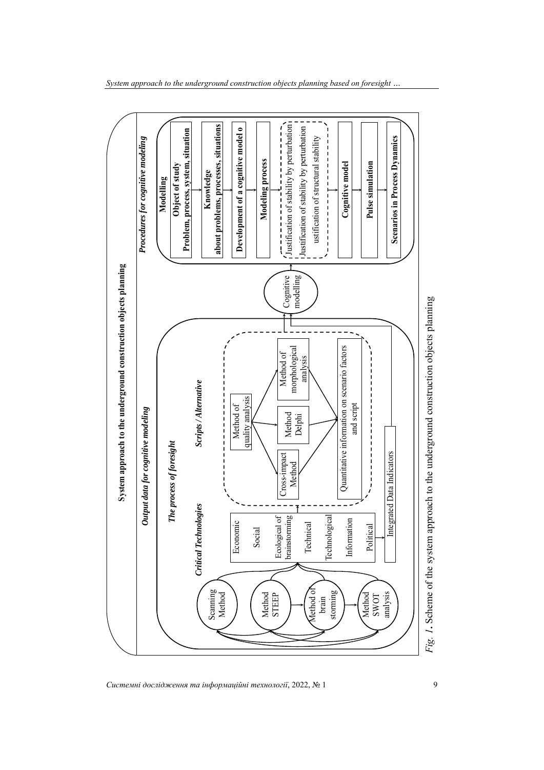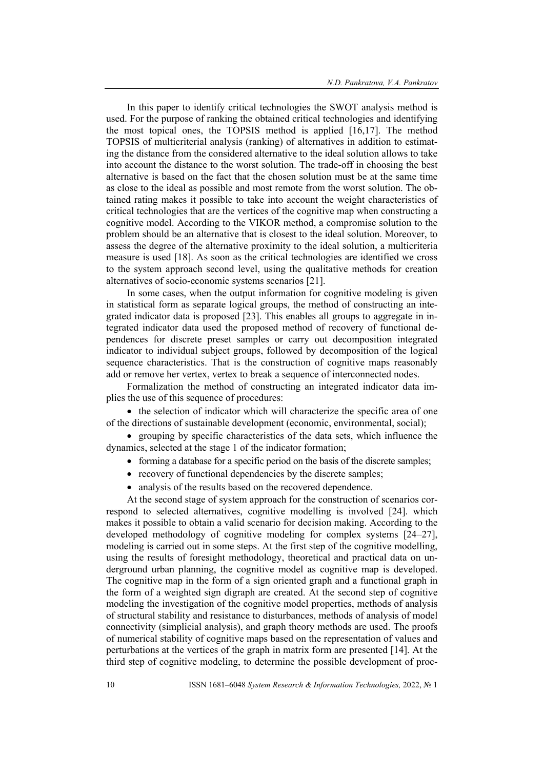In this paper to identify critical technologies the SWOT analysis method is used. For the purpose of ranking the obtained critical technologies and identifying the most topical ones, the TOPSIS method is applied [16,17]. The method TOPSIS of multicriterial analysis (ranking) of alternatives in addition to estimating the distance from the considered alternative to the ideal solution allows to take into account the distance to the worst solution. The trade-off in choosing the best alternative is based on the fact that the chosen solution must be at the same time as close to the ideal as possible and most remote from the worst solution. The obtained rating makes it possible to take into account the weight characteristics of critical technologies that are the vertices of the cognitive map when constructing a cognitive model. According to the VIKOR method, a compromise solution to the problem should be an alternative that is closest to the ideal solution. Moreover, to assess the degree of the alternative proximity to the ideal solution, a multicriteria measure is used [18]. As soon as the critical technologies are identified we cross to the system approach second level, using the qualitative methods for creation alternatives of socio-economic systems scenarios [21].

In some cases, when the output information for cognitive modeling is given in statistical form as separate logical groups, the method of constructing an integrated indicator data is proposed [23]. This enables all groups to aggregate in integrated indicator data used the proposed method of recovery of functional dependences for discrete preset samples or carry out decomposition integrated indicator to individual subject groups, followed by decomposition of the logical sequence characteristics. That is the construction of cognitive maps reasonably add or remove her vertex, vertex to break a sequence of interconnected nodes.

Formalization the method of constructing an integrated indicator data implies the use of this sequence of procedures:

• the selection of indicator which will characterize the specific area of one of the directions of sustainable development (economic, environmental, social);

• grouping by specific characteristics of the data sets, which influence the dynamics, selected at the stage 1 of the indicator formation;

- forming a database for a specific period on the basis of the discrete samples;
- recovery of functional dependencies by the discrete samples;
- analysis of the results based on the recovered dependence.

At the second stage of system approach for the construction of scenarios correspond to selected alternatives, cognitive modelling is involved [24]. which makes it possible to obtain a valid scenario for decision making. According to the developed methodology of cognitive modeling for complex systems [24–27], modeling is carried out in some steps. At the first step of the cognitive modelling, using the results of foresight methodology, theoretical and practical data on underground urban planning, the cognitive model as cognitive map is developed. The cognitive map in the form of a sign oriented graph and a functional graph in the form of a weighted sign digraph are created. At the second step of cognitive modeling the investigation of the cognitive model properties, methods of analysis of structural stability and resistance to disturbances, methods of analysis of model connectivity (simplicial analysis), and graph theory methods are used. The proofs of numerical stability of cognitive maps based on the representation of values and perturbations at the vertices of the graph in matrix form are presented [14]. At the third step of cognitive modeling, to determine the possible development of proc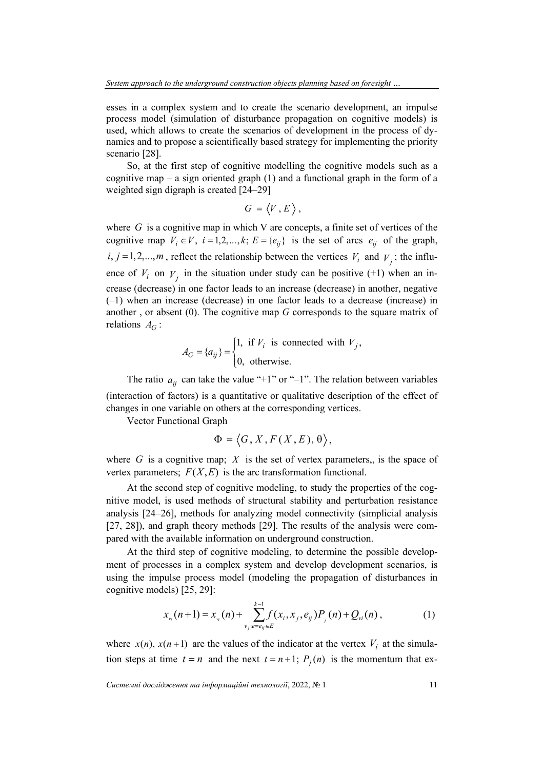esses in a complex system and to create the scenario development, an impulse process model (simulation of disturbance propagation on cognitive models) is used, which allows to create the scenarios of development in the process of dynamics and to propose a scientifically based strategy for implementing the priority scenario [28].

So, at the first step of cognitive modelling the cognitive models such as a cognitive map – a sign oriented graph  $(1)$  and a functional graph in the form of a weighted sign digraph is created [24–29]

$$
G=\langle V,E\rangle,
$$

where  $G$  is a cognitive map in which V are concepts, a finite set of vertices of the cognitive map  $V_i \in V$ ,  $i = 1,2,..., k$ ;  $E = \{e_{ij}\}\$ is the set of arcs  $e_{ij}$  of the graph,  $i, j = 1, 2, \dots, m$ , reflect the relationship between the vertices  $V_i$  and  $V_j$ ; the influence of  $V_i$  on  $V_j$  in the situation under study can be positive (+1) when an increase (decrease) in one factor leads to an increase (decrease) in another, negative (–1) when an increase (decrease) in one factor leads to a decrease (increase) in another , or absent (0). The cognitive map *G* corresponds to the square matrix of relations  $A_G$ :

$$
A_G = \{a_{ij}\} = \begin{cases} 1, & \text{if } V_i \text{ is connected with } V_j, \\ 0, & \text{otherwise.} \end{cases}
$$

The ratio  $a_{ij}$  can take the value "+1" or "-1". The relation between variables (interaction of factors) is a quantitative or qualitative description of the effect of changes in one variable on others at the corresponding vertices.

Vector Functional Graph

$$
\Phi = \langle G, X, F(X, E), \theta \rangle,
$$

where  $G$  is a cognitive map;  $X$  is the set of vertex parameters,, is the space of vertex parameters;  $F(X, E)$  is the arc transformation functional.

At the second step of cognitive modeling, to study the properties of the cognitive model, is used methods of structural stability and perturbation resistance analysis [24–26], methods for analyzing model connectivity (simplicial analysis [27, 28]), and graph theory methods [29]. The results of the analysis were compared with the available information on underground construction.

At the third step of cognitive modeling, to determine the possible development of processes in a complex system and develop development scenarios, is using the impulse process model (modeling the propagation of disturbances in cognitive models) [25, 29]:

$$
x_{_{\nu_i}}(n+1) = x_{_{\nu_i}}(n) + \sum_{\nu_j: e = e_{ij} \in E}^{k-1} f(x_i, x_j, e_{ij}) P_{_{j}}(n) + Q_{\nu_i}(n) , \qquad (1)
$$

where  $x(n)$ ,  $x(n+1)$  are the values of the indicator at the vertex  $V_i$  at the simulation steps at time  $t = n$  and the next  $t = n + 1$ ;  $P_i(n)$  is the momentum that ex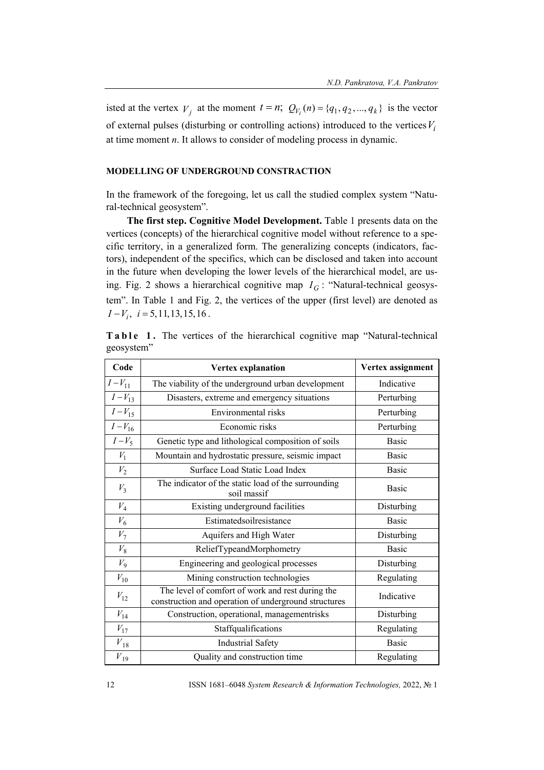isted at the vertex  $V_i$  at the moment  $t = n$ ;  $Q_{V_i}(n) = \{q_1, q_2, ..., q_k\}$  is the vector of external pulses (disturbing or controlling actions) introduced to the vertices  $V_i$ at time moment *n*. It allows to consider of modeling process in dynamic.

### **MODELLING OF UNDERGROUND CONSTRACTION**

In the framework of the foregoing, let us call the studied complex system "Natural-technical geosystem".

**The first step. Cognitive Model Development.** Table 1 presents data on the vertices (concepts) of the hierarchical cognitive model without reference to a specific territory, in a generalized form. The generalizing concepts (indicators, factors), independent of the specifics, which can be disclosed and taken into account in the future when developing the lower levels of the hierarchical model, are using. Fig. 2 shows a hierarchical cognitive map  $I_G$ : "Natural-technical geosystem". In Table 1 and Fig. 2, the vertices of the upper (first level) are denoted as  $I-V_i$ ,  $i = 5,11,13,15,16$ .

|            |  |  |  |  | Table 1. The vertices of the hierarchical cognitive map "Natural-technical |
|------------|--|--|--|--|----------------------------------------------------------------------------|
| geosystem" |  |  |  |  |                                                                            |

| Code         | Vertex explanation                                                                                       | Vertex assignment |  |  |  |
|--------------|----------------------------------------------------------------------------------------------------------|-------------------|--|--|--|
| $I - V_{11}$ | The viability of the underground urban development                                                       | Indicative        |  |  |  |
| $I - V_{13}$ | Disasters, extreme and emergency situations                                                              | Perturbing        |  |  |  |
| $I - V_{15}$ | Environmental risks                                                                                      | Perturbing        |  |  |  |
| $I - V_{16}$ | Economic risks                                                                                           | Perturbing        |  |  |  |
| $I-V_5$      | Genetic type and lithological composition of soils                                                       | <b>Basic</b>      |  |  |  |
| $V_1$        | Mountain and hydrostatic pressure, seismic impact                                                        | <b>Basic</b>      |  |  |  |
| ${\cal V}_2$ | Surface Load Static Load Index                                                                           | Basic             |  |  |  |
| $V_3$        | The indicator of the static load of the surrounding<br>soil massif                                       | <b>Basic</b>      |  |  |  |
| $V_4$        | Existing underground facilities                                                                          | Disturbing        |  |  |  |
| $V_6$        | Estimatedsoilresistance                                                                                  | <b>Basic</b>      |  |  |  |
| $V_7$        | Aquifers and High Water                                                                                  | Disturbing        |  |  |  |
| $V_{8}$      | ReliefTypeandMorphometry                                                                                 | <b>Basic</b>      |  |  |  |
| $V_9$        | Engineering and geological processes                                                                     | Disturbing        |  |  |  |
| $V_{10}$     | Mining construction technologies                                                                         | Regulating        |  |  |  |
| $V_{12}$     | The level of comfort of work and rest during the<br>construction and operation of underground structures | Indicative        |  |  |  |
| $V_{14}$     | Construction, operational, managementrisks                                                               | Disturbing        |  |  |  |
| $V_{17}$     | Staffqualifications                                                                                      | Regulating        |  |  |  |
| $V_{18}$     | <b>Industrial Safety</b>                                                                                 | <b>Basic</b>      |  |  |  |
| $V_{19}$     | Quality and construction time                                                                            | Regulating        |  |  |  |

12 ISSN 1681–6048 *System Research & Information Technologies,* 2022, № 1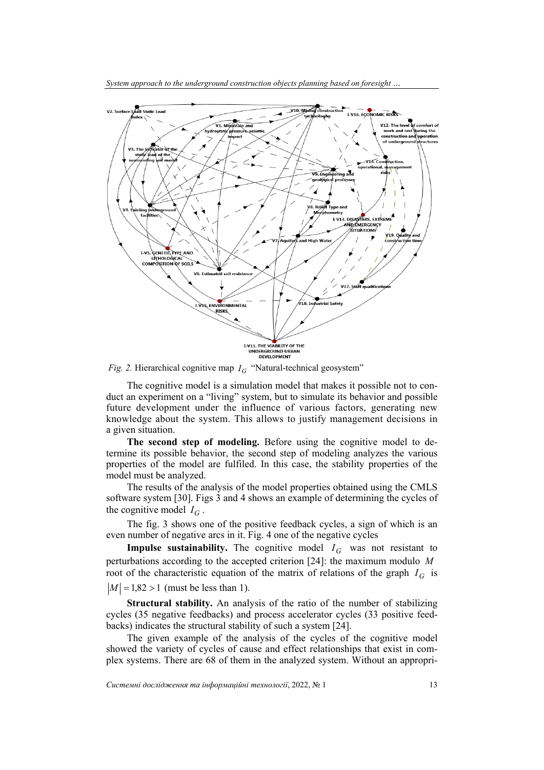

*System approach to the underground construction objects planning based on foresight …* 

*Fig. 2.* Hierarchical cognitive map  $I_G$  "Natural-technical geosystem"

The cognitive model is a simulation model that makes it possible not to conduct an experiment on a "living" system, but to simulate its behavior and possible future development under the influence of various factors, generating new knowledge about the system. This allows to justify management decisions in a given situation.

**The second step of modeling.** Before using the cognitive model to determine its possible behavior, the second step of modeling analyzes the various properties of the model are fulfiled. In this case, the stability properties of the model must be analyzed.

The results of the analysis of the model properties obtained using the CMLS software system [30]. Figs 3 and 4 shows an example of determining the cycles of the cognitive model  $I_G$ .

The fig. 3 shows one of the positive feedback cycles, a sign of which is an even number of negative arcs in it. Fig. 4 one of the negative cycles

**Impulse sustainability.** The cognitive model  $I_G$  was not resistant to perturbations according to the accepted criterion [24]: the maximum modulo *M* root of the characteristic equation of the matrix of relations of the graph  $I_G$  is  $|M|$  = 1,82 > 1 (must be less than 1).

**Structural stability.** An analysis of the ratio of the number of stabilizing cycles (35 negative feedbacks) and process accelerator cycles (33 positive feedbacks) indicates the structural stability of such a system [24].

The given example of the analysis of the cycles of the cognitive model showed the variety of cycles of cause and effect relationships that exist in complex systems. There are 68 of them in the analyzed system. Without an appropri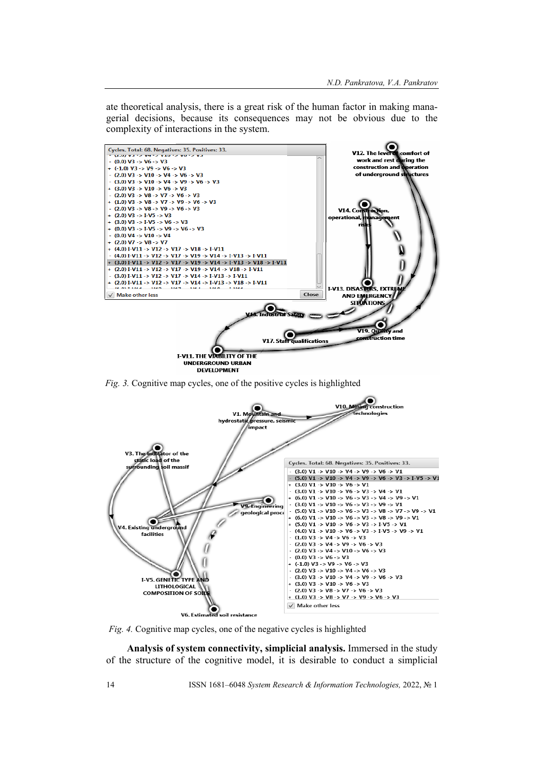ate theoretical analysis, there is a great risk of the human factor in making managerial decisions, because its consequences may not be obvious due to the complexity of interactions in the system.



*Fig. 3.* Cognitive map cycles, one of the positive cycles is highlighted



*Fig. 4.* Cognitive map cycles, one of the negative cycles is highlighted

**Analysis of system connectivity, simplicial analysis.** Immersed in the study of the structure of the cognitive model, it is desirable to conduct a simplicial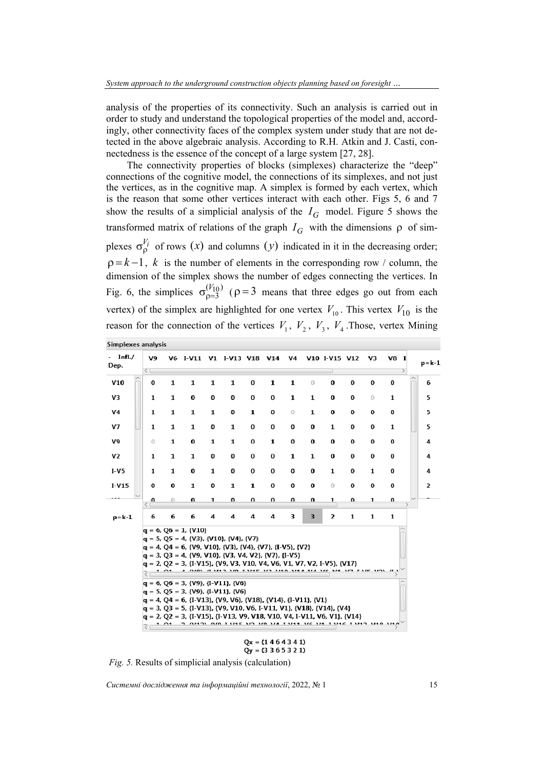analysis of the properties of its connectivity. Such an analysis is carried out in order to study and understand the topological properties of the model and, accordingly, other connectivity faces of the complex system under study that are not detected in the above algebraic analysis. According to R.H. Atkin and J. Casti, connectedness is the essence of the concept of a large system [27, 28].

The connectivity properties of blocks (simplexes) characterize the "deep" connections of the cognitive model, the connections of its simplexes, and not just the vertices, as in the cognitive map. A simplex is formed by each vertex, which is the reason that some other vertices interact with each other. Figs 5, 6 and 7 show the results of a simplicial analysis of the  $I_G$  model. Figure 5 shows the transformed matrix of relations of the graph  $I_G$  with the dimensions  $\rho$  of simplexes  $\sigma_{\rho}^{V_i}$  of rows (x) and columns (y) indicated in it in the decreasing order;  $p = k - 1$ , *k* is the number of elements in the corresponding row / column, the dimension of the simplex shows the number of edges connecting the vertices. In Fig. 6, the simplices  $\sigma_{\rho=3}^{(V_{10})}$  $\sigma_{\rho=3}^{(V_{10})}$  ( $\rho=3$  means that three edges go out from each vertex) of the simplex are highlighted for one vertex  $V_{10}$ . This vertex  $V_{10}$  is the reason for the connection of the vertices  $V_1$ ,  $V_2$ ,  $V_3$ ,  $V_4$ . Those, vertex Mining

| Simplexes analysis |                        |              |                                                                                                                                                                                                                                                                                                                                                                                                                                                                                                                                                                                                 |   |                                                                                                                |          |              |           |              |                         |          |          |                       |           |
|--------------------|------------------------|--------------|-------------------------------------------------------------------------------------------------------------------------------------------------------------------------------------------------------------------------------------------------------------------------------------------------------------------------------------------------------------------------------------------------------------------------------------------------------------------------------------------------------------------------------------------------------------------------------------------------|---|----------------------------------------------------------------------------------------------------------------|----------|--------------|-----------|--------------|-------------------------|----------|----------|-----------------------|-----------|
| Infl./<br>Dep.     | V9<br>$\leq$ $\subset$ |              | V6 I-V11 V1 I-V13 V18 V14                                                                                                                                                                                                                                                                                                                                                                                                                                                                                                                                                                       |   |                                                                                                                |          |              | <b>V4</b> |              | V10 I-V15 V12           |          | V3       | V8 I<br>$\rightarrow$ | $p = k-1$ |
| V10                | 0                      | $\mathbf{1}$ | $\mathbf{1}$                                                                                                                                                                                                                                                                                                                                                                                                                                                                                                                                                                                    | 1 | 1                                                                                                              | $\bf{0}$ | 1            | 1         | $\circ$      | 0                       | 0        | 0        | 0                     | 6         |
| V3                 | 1                      | $\mathbf{1}$ | 0                                                                                                                                                                                                                                                                                                                                                                                                                                                                                                                                                                                               | 0 | 0                                                                                                              | 0        | 0            | 1         | 1            | 0                       | 0        | 0        | 1                     | 5         |
| V4                 | 1                      | $\mathbf{1}$ | $\mathbf{1}$                                                                                                                                                                                                                                                                                                                                                                                                                                                                                                                                                                                    | 1 | 0                                                                                                              | 1        | 0            | $\circ$   | $\mathbf{1}$ | 0                       | 0        | 0        | 0                     | 5         |
| V7                 | 1                      | 1            | $\mathbf{1}$                                                                                                                                                                                                                                                                                                                                                                                                                                                                                                                                                                                    | 0 | 1                                                                                                              | 0        | 0            | 0         | 0            | 1                       | 0        | 0        | 1                     | 5         |
| V9                 | $\theta$               | $\mathbf{1}$ | $\bf{0}$                                                                                                                                                                                                                                                                                                                                                                                                                                                                                                                                                                                        | 1 | 1                                                                                                              | $\bf{0}$ | $\mathbf{1}$ | 0         | 0            | $\bf{0}$                | $\bf{0}$ | 0        | 0                     | 4         |
| V <sub>2</sub>     | $\mathbf{1}$           | $\mathbf{1}$ | $\mathbf{1}$                                                                                                                                                                                                                                                                                                                                                                                                                                                                                                                                                                                    | 0 | 0                                                                                                              | 0        | 0            | 1         | $\mathbf{1}$ | $\bf{0}$                | $\bf{0}$ | $\bf{0}$ | 0                     | 4         |
| <b>I-V5</b>        | 1                      | 1            | 0                                                                                                                                                                                                                                                                                                                                                                                                                                                                                                                                                                                               | 1 | 0                                                                                                              | 0        | 0            | 0         | 0            | 1                       | 0        | 1        | 0                     | 4         |
| $I-V15$            | 0                      | 0            | $\mathbf{1}$                                                                                                                                                                                                                                                                                                                                                                                                                                                                                                                                                                                    | 0 | $\mathbf{1}$                                                                                                   | 1        | 0            | 0         | 0            | 0                       | 0        | 0        | 0                     | 2         |
|                    | U                      |              | U                                                                                                                                                                                                                                                                                                                                                                                                                                                                                                                                                                                               | 1 | U                                                                                                              | U        | U            | U         | U            | 1                       | U        | 1.       | U                     |           |
| $p = k-1$          | 6                      | 6            | 6                                                                                                                                                                                                                                                                                                                                                                                                                                                                                                                                                                                               | 4 | 4                                                                                                              | 4        | 4            | 3         | 3            | $\overline{\mathbf{2}}$ | 1        | 1        | $\mathbf{1}$          |           |
|                    | रा<br>₹                | 1.01         | $q = 6, Q6 = 1, \{V10\}$<br>q = 5, Q5 = 4, {V3}, {V10}, {V4}, {V7}<br>$q = 4$ , Q4 = 6, {V9, V10}, {V3}, {V4}, {V7}, {I-V5}, {V2}<br>$q = 3, Q3 = 4, \{V9, V10\}, \{V3, V4, V2\}, \{V7\}, \{I-V5\}$<br>q = 2, Q2 = 3, {I-V15}, {V9, V3, V10, V4, V6, V1, V7, V2, I-V5}, {V17}<br>$q = 6, Q6 = 3, \{V9\}, \{I-V11\}, \{V6\}$<br>$q = 5, Q5 = 3, {V9}, {I-V11}, {V6}$<br>$q = 4$ , Q4 = 6, {I-V13}, {V9, V6}, {V18}, {V14}, {I-V11}, {V1}<br>$q = 3, Q3 = 5, {1-V13}, {V9, V10, V6, I-V11, V1}, {V18}, {V14}, {V4}$<br>$q = 2$ , Q2 = 3, {I-V15}, {I-V13, V9, V18, V10, V4, I-V11, V6, V1}, {V14} |   | A NIO) IT VID AND TANKE AND AND AND ARD AND ANY TARE AND<br>רועד אועד ועראו נוצרו וער סער רער דועד מעט ורועט ר |          |              |           |              |                         |          |          |                       |           |
|                    |                        |              |                                                                                                                                                                                                                                                                                                                                                                                                                                                                                                                                                                                                 |   |                                                                                                                |          | 11.45.43.43  |           |              |                         |          |          |                       |           |

 $Qv = (3365321)$ 

*Fig. 5.* Results of simplicial analysis (calculation)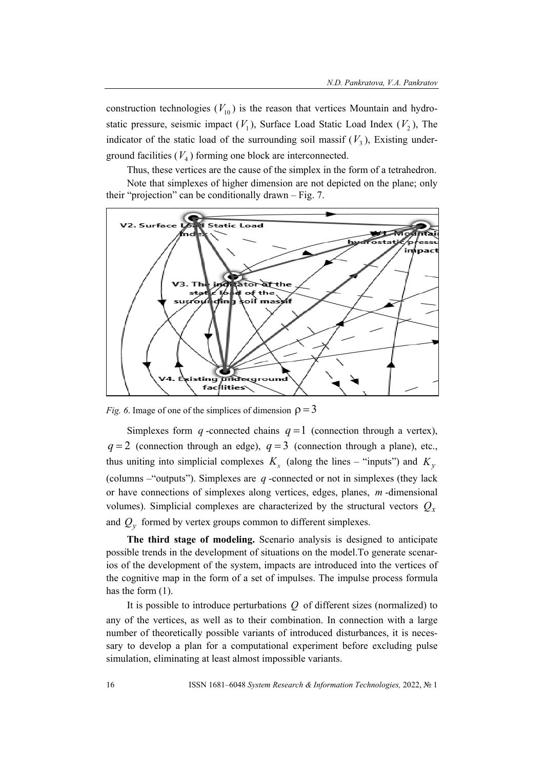construction technologies  $(V_{10})$  is the reason that vertices Mountain and hydrostatic pressure, seismic impact  $(V_1)$ , Surface Load Static Load Index  $(V_2)$ , The indicator of the static load of the surrounding soil massif  $(V_3)$ , Existing underground facilities  $(V_4)$  forming one block are interconnected.

Thus, these vertices are the cause of the simplex in the form of a tetrahedron. Note that simplexes of higher dimension are not depicted on the plane; only their "projection" can be conditionally drawn – Fig. 7.



*Fig. 6.* Image of one of the simplices of dimension  $\rho = 3$ 

Simplexes form *q* -connected chains  $q = 1$  (connection through a vertex),  $q=2$  (connection through an edge),  $q=3$  (connection through a plane), etc., thus uniting into simplicial complexes  $K<sub>x</sub>$  (along the lines – "inputs") and  $K<sub>y</sub>$ (columns –"outputs"). Simplexes are *q* -connected or not in simplexes (they lack or have connections of simplexes along vertices, edges, planes, *m* -dimensional volumes). Simplicial complexes are characterized by the structural vectors  $Q_x$ and  $Q<sub>v</sub>$  formed by vertex groups common to different simplexes.

**The third stage of modeling.** Scenario analysis is designed to anticipate possible trends in the development of situations on the model.To generate scenarios of the development of the system, impacts are introduced into the vertices of the cognitive map in the form of a set of impulses. The impulse process formula has the form  $(1)$ .

It is possible to introduce perturbations *Q* of different sizes (normalized) to any of the vertices, as well as to their combination. In connection with a large number of theoretically possible variants of introduced disturbances, it is necessary to develop a plan for a computational experiment before excluding pulse simulation, eliminating at least almost impossible variants.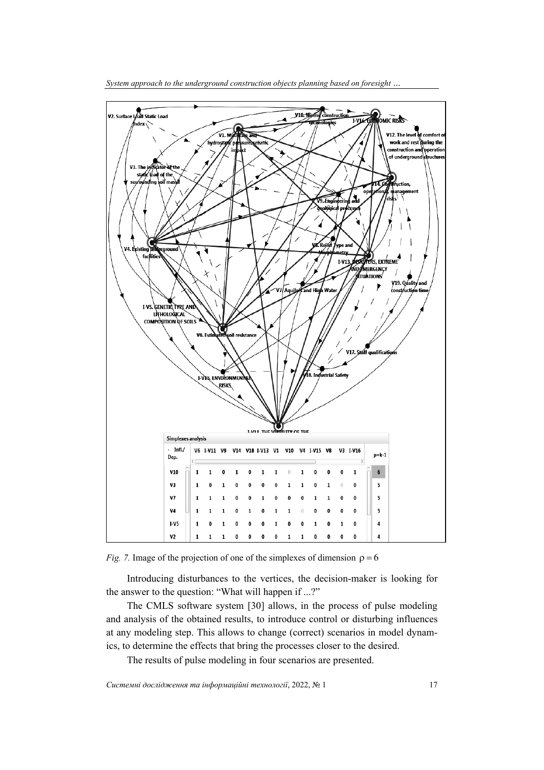

*Fig. 7.* Image of the projection of one of the simplexes of dimension  $\rho = 6$ 

Introducing disturbances to the vertices, the decision-maker is looking for the answer to the question: "What will happen if ...?"

The CMLS software system [30] allows, in the process of pulse modeling and analysis of the obtained results, to introduce control or disturbing influences at any modeling step. This allows to change (correct) scenarios in model dynamics, to determine the effects that bring the processes closer to the desired.

The results of pulse modeling in four scenarios are presented.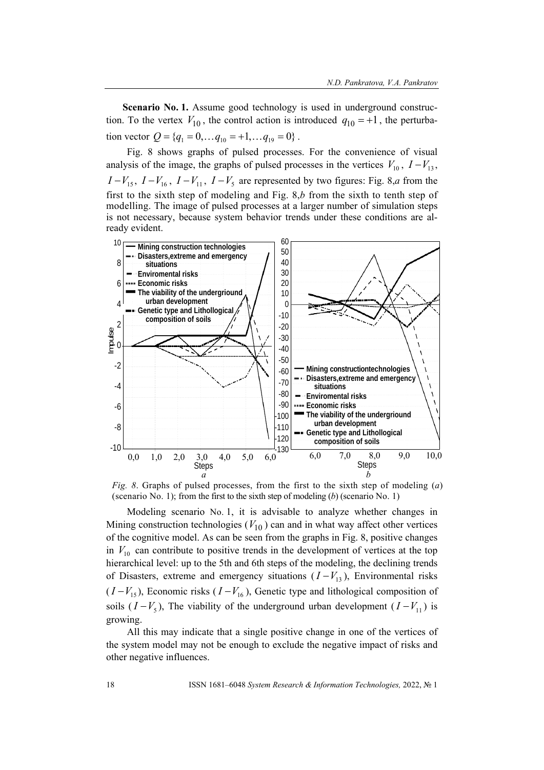**Scenario No. 1.** Assume good technology is used in underground construction. To the vertex  $V_{10}$ , the control action is introduced  $q_{10} = +1$ , the perturbation vector  $Q = \{q_1 = 0, \ldots q_{10} = +1, \ldots q_{19} = 0\}$ .

Fig. 8 shows graphs of pulsed processes. For the convenience of visual analysis of the image, the graphs of pulsed processes in the vertices  $V_{10}$ ,  $I - V_{13}$ ,  $I - V_{15}$ ,  $I - V_{16}$ ,  $I - V_{11}$ ,  $I - V_5$  are represented by two figures: Fig. 8,*a* from the first to the sixth step of modeling and Fig. 8,*b* from the sixth to tenth step of modelling. The image of pulsed processes at a larger number of simulation steps is not necessary, because system behavior trends under these conditions are already evident.



*Fig. 8*. Graphs of pulsed processes, from the first to the sixth step of modeling (*a*) (scenario No. 1); from the first to the sixth step of modeling (*b*) (scenario No. 1)

Modeling scenario No. 1, it is advisable to analyze whether changes in Mining construction technologies  $(V_{10})$  can and in what way affect other vertices of the cognitive model. As can be seen from the graphs in Fig. 8, positive changes in  $V_{10}$  can contribute to positive trends in the development of vertices at the top hierarchical level: up to the 5th and 6th steps of the modeling, the declining trends of Disasters, extreme and emergency situations  $(I - V_{13})$ , Environmental risks  $(I - V_{15})$ , Economic risks  $(I - V_{16})$ , Genetic type and lithological composition of soils  $(I - V_5)$ , The viability of the underground urban development  $(I - V_{11})$  is growing.

All this may indicate that a single positive change in one of the vertices of the system model may not be enough to exclude the negative impact of risks and other negative influences.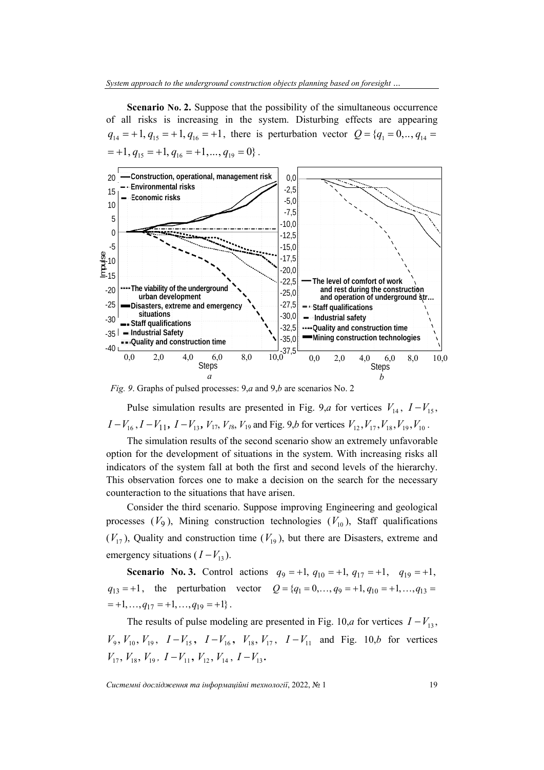**Scenario No. 2.** Suppose that the possibility of the simultaneous occurrence of all risks is increasing in the system. Disturbing effects are appearing  $q_{14} = +1$ ,  $q_{15} = +1$ ,  $q_{16} = +1$ , there is perturbation vector  $Q = \{q_1 = 0, ..., q_{14} =$  $=+1, q_{15} = +1, q_{16} = +1, ..., q_{19} = 0$ .



*Fig. 9*. Graphs of pulsed processes: 9,*a* and 9,*b* are scenarios No. 2

Pulse simulation results are presented in Fig. 9,*a* for vertices  $V_{14}$ ,  $I - V_{15}$ ,  $I - V_{16}$ ,  $I - V_{11}$ ,  $I - V_{13}$ ,  $V_{17}$ ,  $V_{18}$ ,  $V_{19}$  and Fig. 9,*b* for vertices  $V_{12}$ ,  $V_{17}$ ,  $V_{18}$ ,  $V_{19}$ ,  $V_{10}$ .

The simulation results of the second scenario show an extremely unfavorable option for the development of situations in the system. With increasing risks all indicators of the system fall at both the first and second levels of the hierarchy. This observation forces one to make a decision on the search for the necessary counteraction to the situations that have arisen.

Consider the third scenario. Suppose improving Engineering and geological processes  $(V_9)$ , Mining construction technologies  $(V_{10})$ , Staff qualifications  $(V_{17})$ , Quality and construction time  $(V_{19})$ , but there are Disasters, extreme and emergency situations  $(I - V_{13})$ .

**Scenario No. 3.** Control actions  $q_9 = +1$ ,  $q_{10} = +1$ ,  $q_{17} = +1$ ,  $q_{19} = +1$ .  $q_{13} = +1$ , the perturbation vector  $Q = \{q_1 = 0, ..., q_9 = +1, q_{10} = +1, ..., q_{13} =$  $=+1, \ldots, q_{17} = +1, \ldots, q_{19} = +1$ .

The results of pulse modeling are presented in Fig. 10,*a* for vertices  $I - V_{13}$ ,  $V_9$ ,  $V_{10}$ ,  $V_{19}$ ,  $I - V_{15}$ ,  $I - V_{16}$ ,  $V_{18}$ ,  $V_{17}$ ,  $I - V_{11}$  and Fig. 10,*b* for vertices  $V_{17}$ ,  $V_{18}$ ,  $V_{19}$ ,  $I - V_{11}$ ,  $V_{12}$ ,  $V_{14}$ ,  $I - V_{13}$ .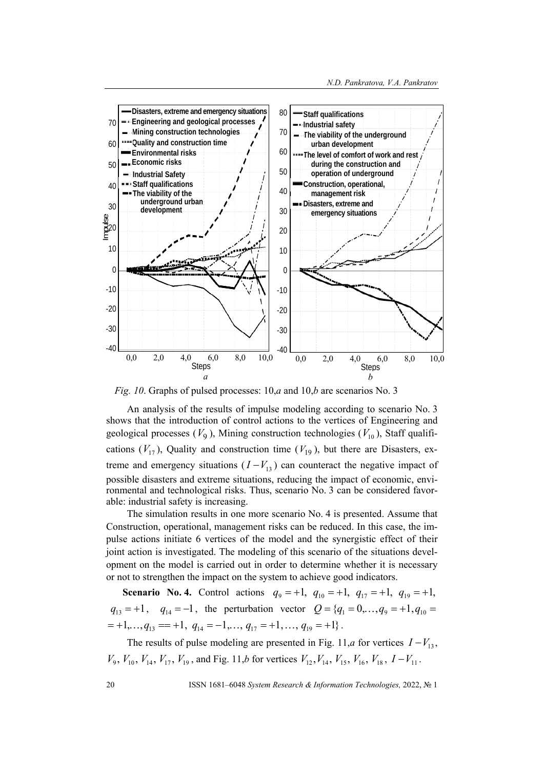

*Fig. 10*. Graphs of pulsed processes: 10,*a* and 10,*b* are scenarios No. 3

An analysis of the results of impulse modeling according to scenario No. 3 shows that the introduction of control actions to the vertices of Engineering and geological processes  $(V_9)$ , Mining construction technologies  $(V_{10})$ , Staff qualifications  $(V_{17})$ , Quality and construction time  $(V_{19})$ , but there are Disasters, extreme and emergency situations  $(I - V_{13})$  can counteract the negative impact of possible disasters and extreme situations, reducing the impact of economic, environmental and technological risks. Thus, scenario No. 3 can be considered favorable: industrial safety is increasing.

The simulation results in one more scenario No. 4 is presented. Assume that Construction, operational, management risks can be reduced. In this case, the impulse actions initiate 6 vertices of the model and the synergistic effect of their joint action is investigated. The modeling of this scenario of the situations development on the model is carried out in order to determine whether it is necessary or not to strengthen the impact on the system to achieve good indicators.

**Scenario No. 4.** Control actions  $q_9 = +1$ ,  $q_{10} = +1$ ,  $q_{17} = +1$ ,  $q_{19} = +1$ ,  $q_{13} = +1$ ,  $q_{14} = -1$ , the perturbation vector  $Q = \{q_1 = 0, ..., q_9 = +1, q_{10} =$  $=+1, \ldots, q_{13} = +1, \ q_{14} = -1, \ldots, q_{17} = +1, \ldots, q_{19} = +1$ .

The results of pulse modeling are presented in Fig. 11,*a* for vertices  $I - V_{13}$ ,  $V_9$ ,  $V_{10}$ ,  $V_{14}$ ,  $V_{17}$ ,  $V_{19}$ , and Fig. 11,*b* for vertices  $V_{12}$ ,  $V_{14}$ ,  $V_{15}$ ,  $V_{16}$ ,  $V_{18}$ ,  $I-V_{11}$ .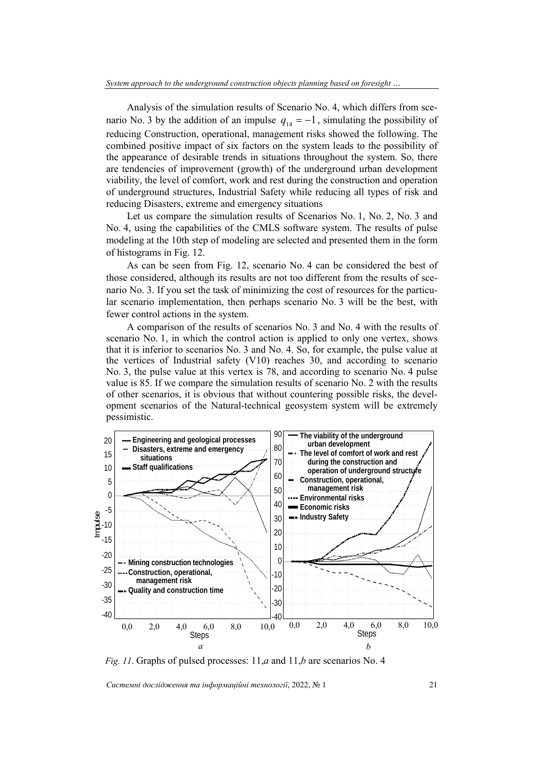Analysis of the simulation results of Scenario No. 4, which differs from scenario No. 3 by the addition of an impulse  $q_{14} = -1$ , simulating the possibility of reducing Construction, operational, management risks showed the following. The combined positive impact of six factors on the system leads to the possibility of the appearance of desirable trends in situations throughout the system. So, there are tendencies of improvement (growth) of the underground urban development viability, the level of comfort, work and rest during the construction and operation of underground structures, Industrial Safety while reducing all types of risk and reducing Disasters, extreme and emergency situations

Let us compare the simulation results of Scenarios No. 1, No. 2, No. 3 and No. 4, using the capabilities of the CMLS software system. The results of pulse modeling at the 10th step of modeling are selected and presented them in the form of histograms in Fig. 12.

As can be seen from Fig. 12, scenario No. 4 can be considered the best of those considered, although its results are not too different from the results of scenario No. 3. If you set the task of minimizing the cost of resources for the particular scenario implementation, then perhaps scenario No. 3 will be the best, with fewer control actions in the system.

A comparison of the results of scenarios No. 3 and No. 4 with the results of scenario No. 1, in which the control action is applied to only one vertex, shows that it is inferior to scenarios No. 3 and No. 4. So, for example, the pulse value at the vertices of Industrial safety (V10) reaches 30, and according to scenario No. 3, the pulse value at this vertex is 78, and according to scenario No. 4 pulse value is 85. If we compare the simulation results of scenario No. 2 with the results of other scenarios, it is obvious that without countering possible risks, the development scenarios of the Natural-technical geosystem system will be extremely pessimistic.



*Fig. 11*. Graphs of pulsed processes: 11,*a* and 11,*b* are scenarios No. 4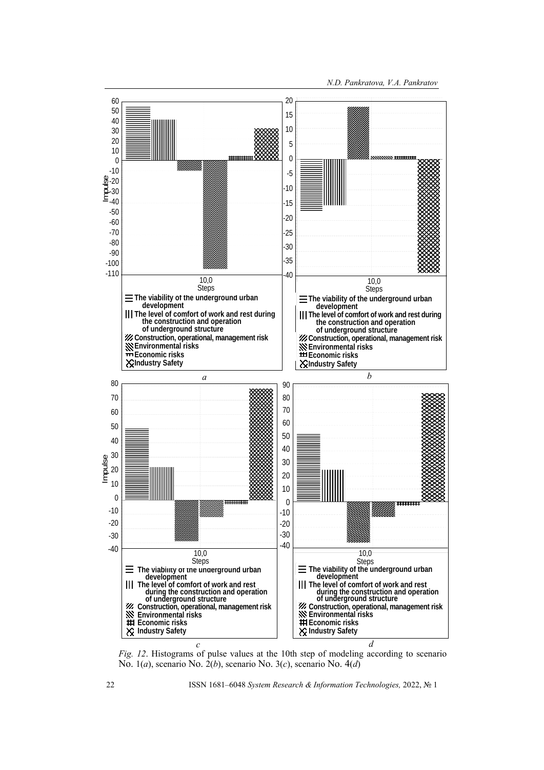

*Fig. 12.* Histograms of pulse values at the 10th step of modeling according to scenario No. 1(*a*), scenario No. 2(*b*), scenario No. 3(*c*), scenario No. 4(*d*)

22 ISSN 1681–6048 *System Research & Information Technologies,* 2022, № 1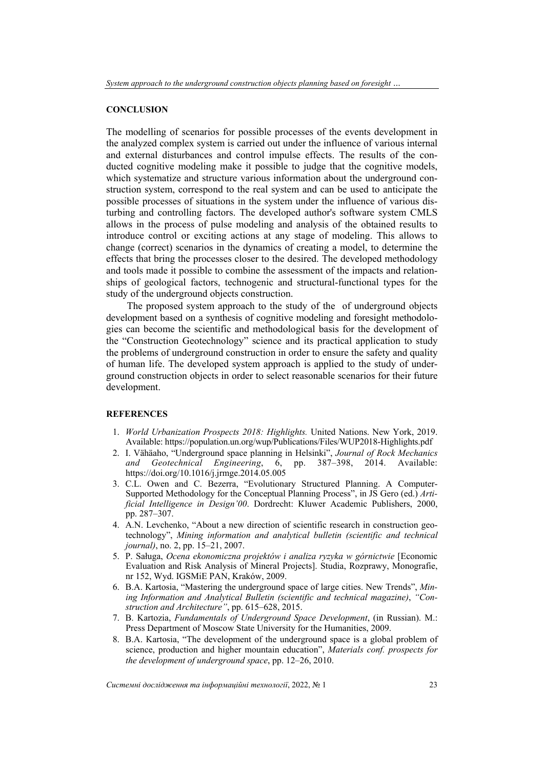#### **CONCLUSION**

The modelling of scenarios for possible processes of the events development in the analyzed complex system is carried out under the influence of various internal and external disturbances and control impulse effects. The results of the conducted cognitive modeling make it possible to judge that the cognitive models, which systematize and structure various information about the underground construction system, correspond to the real system and can be used to anticipate the possible processes of situations in the system under the influence of various disturbing and controlling factors. The developed author's software system CMLS allows in the process of pulse modeling and analysis of the obtained results to introduce control or exciting actions at any stage of modeling. This allows to change (correct) scenarios in the dynamics of creating a model, to determine the effects that bring the processes closer to the desired. The developed methodology and tools made it possible to combine the assessment of the impacts and relationships of geological factors, technogenic and structural-functional types for the study of the underground objects construction.

The proposed system approach to the study of the of underground objects development based on a synthesis of cognitive modeling and foresight methodologies can become the scientific and methodological basis for the development of the "Construction Geotechnology" science and its practical application to study the problems of underground construction in order to ensure the safety and quality of human life. The developed system approach is applied to the study of underground construction objects in order to select reasonable scenarios for their future development.

#### **REFERENCES**

- 1. *World Urbanization Prospects 2018: Highlights.* United Nations. New York, 2019. Available: https://population.un.org/wup/Publications/Files/WUP2018-Highlights.pdf
- 2. I. Vähäaho, "Underground space planning in Helsinki", *Journal of Rock Mechanics and Geotechnical Engineering*, 6, pp. 387–398, 2014. Available: https://doi.org/10.1016/j.jrmge.2014.05.005
- 3. C.L. Owen and C. Bezerra, "Evolutionary Structured Planning. A Computer-Supported Methodology for the Conceptual Planning Process", in JS Gero (ed.) *Artificial Intelligence in Design'00*. Dordrecht: Kluwer Academic Publishers, 2000, pp. 287–307.
- 4. A.N. Levchenko, "About a new direction of scientific research in construction geotechnology", *Mining information and analytical bulletin (scientific and technical journal)*, no. 2, pp. 15–21, 2007.
- 5. P. Saługa, *Ocena ekonomiczna projektów i analiza ryzyka w górnictwie* [Economic Evaluation and Risk Analysis of Mineral Projects]. Studia, Rozprawy, Monografie, nr 152, Wyd. IGSMiE PAN, Kraków, 2009.
- 6. B.A. Kartosia, "Mastering the underground space of large cities. New Trends", *Mining Information and Analytical Bulletin (scientific and technical magazine)*, *"Construction and Architecture"*, pp. 615–628, 2015.
- 7. B. Kartozia, *Fundamentals of Underground Space Development*, (in Russian). M.: Press Department of Moscow State University for the Humanities, 2009.
- 8. B.A. Kartosia, "The development of the underground space is a global problem of science, production and higher mountain education", *Materials conf. prospects for the development of underground space*, pp. 12–26, 2010.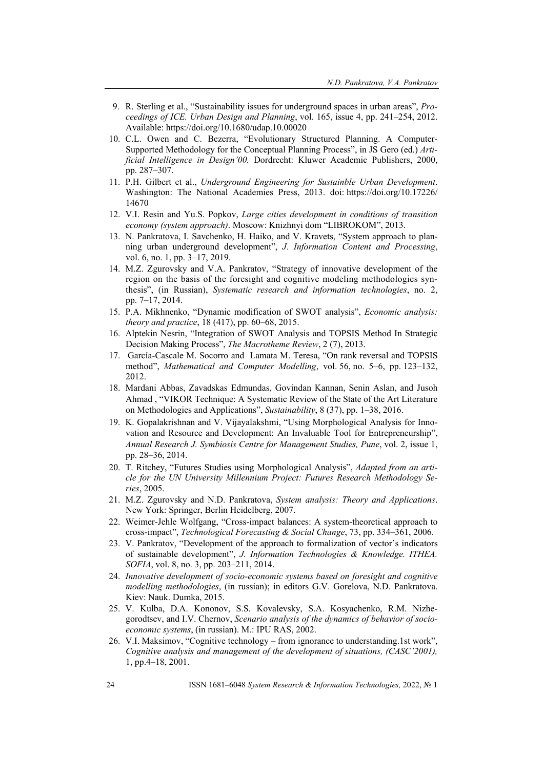- 9. R. Sterling et al., "Sustainability issues for underground spaces in urban areas", *Proceedings of ICE. Urban Design and Planning*, vol. 165, issue 4, pp. 241–254, 2012. Available: https://doi.org/10.1680/udap.10.00020
- 10. C.L. Owen and C. Bezerra, "Evolutionary Structured Planning. A Computer-Supported Methodology for the Conceptual Planning Process", in JS Gero (ed.) *Artificial Intelligence in Design'00.* Dordrecht: Kluwer Academic Publishers, 2000, pp. 287–307.
- 11. P.H. Gilbert et al., *Underground Engineering for Sustainble Urban Development*. Washington: The National Academies Press, 2013. doi: https://doi.org/10.17226/ 14670
- 12. V.I. Resin and Yu.S. Popkov, *Large cities development in conditions of transition economy (system approach)*. Moscow: Knizhnyi dom "LIBROKOM", 2013.
- 13. N. Pankratova, I. Savchenko, H. Haiko, and V. Kravets, "System approach to planning urban underground development", *J. Information Content and Processing*, vol. 6, no. 1, pp. 3–17, 2019.
- 14. M.Z. Zgurovsky and V.A. Pankratov, "Strategy of innovative development of the region on the basis of the foresight and cognitive modeling methodologies synthesis", (in Russian), *Systematic research and information technologies*, no. 2, pp. 7–17, 2014.
- 15. P.A. Mikhnenko, "Dynamic modification of SWOT analysis", *Economic analysis: theory and practice*, 18 (417), pp. 60–68, 2015.
- 16. Alptekin Nesrin, "Integration of SWOT Analysis and TOPSIS Method In Strategic Decision Making Process", *The Macrotheme Review*, 2 (7), 2013.
- 17. García-Cascale M. Socorro and Lamata M. Teresa, "On rank reversal and TOPSIS method", *Mathematical and Computer Modelling*, vol. 56, no. 5–6, pp. 123–132, 2012.
- 18. Mardani Abbas, Zavadskas Edmundas, Govindan Kannan, Senin Aslan, and Jusoh Ahmad , "VIKOR Technique: A Systematic Review of the State of the Art Literature on Methodologies and Applications", *Sustainability*, 8 (37), pp. 1–38, 2016.
- 19. K. Gopalakrishnan and V. Vijayalakshmi, "Using Morphological Analysis for Innovation and Resource and Development: An Invaluable Tool for Entrepreneurship", *Annual Research J. Symbiosis Centre for Management Studies, Pune*, vol. 2, issue 1, pp. 28–36, 2014.
- 20. T. Ritchey, "Futures Studies using Morphological Analysis", *Adapted from an article for the UN University Millennium Project: Futures Research Methodology Series*, 2005.
- 21. M.Z. Zgurovsky and N.D. Pankratova, *System analysis: Theory and Applications*. New York: Springer, Berlin Heidelberg, 2007.
- 22. Weimer-Jehle Wolfgang, "Cross-impact balances: A system-theoretical approach to cross-impact", *Technological Forecasting & Social Change*, 73, pp. 334–361, 2006.
- 23. V. Pankratov, "Development of the approach to formalization of vector's indicators of sustainable development", *J. Information Technologies & Knowledge. ITHEA. SOFIA*, vol. 8, no. 3, pp. 203–211, 2014.
- 24. *Innovative development of socio-economic systems based on foresight and cognitive modelling methodologies*, (in russian); in editors G.V. Gorelova, N.D. Pankratova. Kiev: Nauk. Dumka, 2015.
- 25. V. Kulba, D.A. Kononov, S.S. Kovalevsky, S.A. Kosyachenko, R.M. Nizhegorodtsev, and I.V. Chernov, *Scenario analysis of the dynamics of behavior of socioeconomic systems*, (in russian). M.: IPU RAS, 2002.
- 26. V.I. Maksimov, "Cognitive technology from ignorance to understanding.1st work", *Cognitive analysis and management of the development of situations, (CASC'2001),*  1, pp.4–18, 2001.